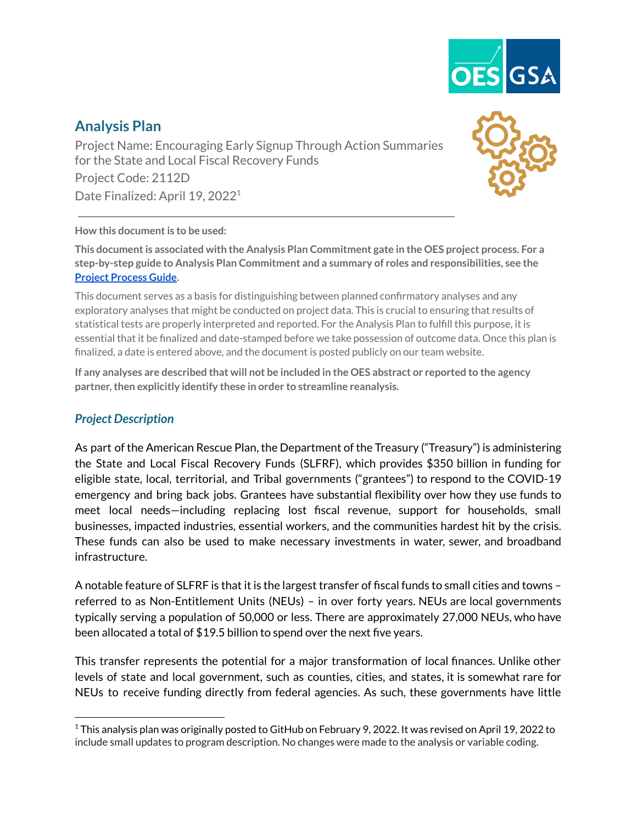

# **Analysis Plan**

Project Name: Encouraging Early Signup Through Action Summaries for the State and Local Fiscal Recovery Funds Project Code: 2112D Date Finalized: April 19, 2022<sup>1</sup>



#### **How this documentis to be used:**

**This documentis associated with the Analysis Plan Commitment gate in the OES project process. For a step-by-step guide to Analysis Plan Commitment and a summary of roles and responsibilities, see the Project [Process](https://drive.google.com/file/d/1a-NHSSIO8a38TPifAowNNQmTKS9_dcNf/view?usp=sharing) Guide.**

This document serves as a basis for distinguishing between planned confirmatory analyses and any exploratory analyses that might be conducted on project data. This is crucial to ensuring that results of statistical tests are properly interpreted and reported. For the Analysis Plan to fulfill this purpose, it is essential that it be finalized and date-stamped before we take possession of outcome data. Once this plan is finalized, a date is entered above, and the document is posted publicly on our team website.

If any analyses are described that will not be included in the OES abstract or reported to the agency **partner,then explicitly identify these in order to streamline reanalysis.**

### *Project Description*

As part of the American Rescue Plan, the Department of the Treasury ("Treasury") is administering the State and Local Fiscal Recovery Funds (SLFRF), which provides \$350 billion in funding for eligible state, local, territorial, and Tribal governments ("grantees") to respond to the COVID-19 emergency and bring back jobs. Grantees have substantial flexibility over how they use funds to meet local needs—including replacing lost fiscal revenue, support for households, small businesses, impacted industries, essential workers, and the communities hardest hit by the crisis. These funds can also be used to make necessary investments in water, sewer, and broadband infrastructure.

A notable feature of SLFRF is that it is the largest transfer of fiscal funds to small cities and towns – referred to as Non-Entitlement Units (NEUs) – in over forty years. NEUs are local governments typically serving a population of 50,000 or less. There are approximately 27,000 NEUs, who have been allocated a total of \$19.5 billion to spend over the next five years.

This transfer represents the potential for a major transformation of local finances. Unlike other levels of state and local government, such as counties, cities, and states, it is somewhat rare for NEUs to receive funding directly from federal agencies. As such, these governments have little

 $^1$ This analysis plan was originally posted to GitHub on February 9, 2022. It was revised on April 19, 2022 to include small updates to program description. No changes were made to the analysis or variable coding.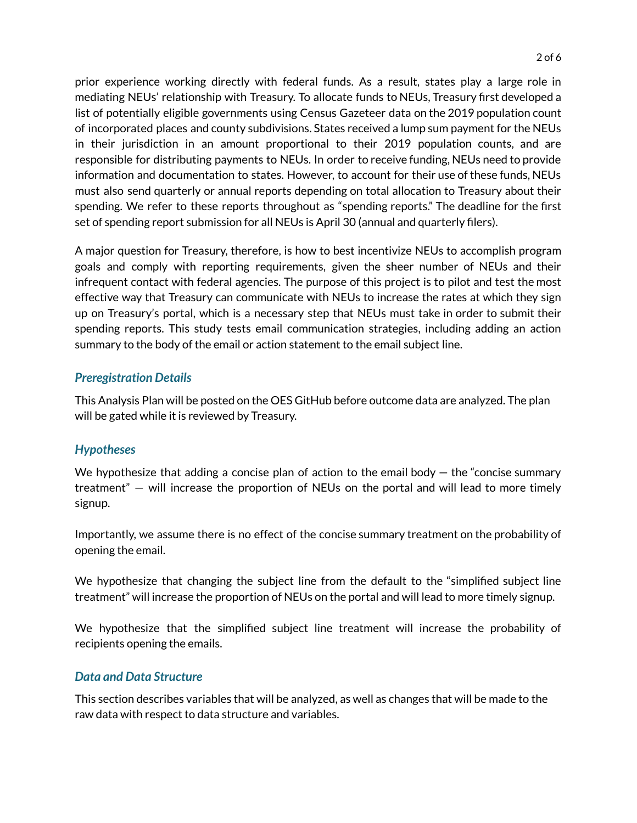prior experience working directly with federal funds. As a result, states play a large role in mediating NEUs' relationship with Treasury. To allocate funds to NEUs, Treasury first developed a list of potentially eligible governments using Census Gazeteer data on the 2019 population count of incorporated places and county subdivisions. States received a lump sum payment for the NEUs in their jurisdiction in an amount proportional to their 2019 population counts, and are responsible for distributing payments to NEUs. In order to receive funding, NEUs need to provide information and documentation to states. However, to account for their use of these funds, NEUs must also send quarterly or annual reports depending on total allocation to Treasury about their spending. We refer to these reports throughout as "spending reports." The deadline for the first set of spending report submission for all NEUs is April 30 (annual and quarterly filers).

A major question for Treasury, therefore, is how to best incentivize NEUs to accomplish program goals and comply with reporting requirements, given the sheer number of NEUs and their infrequent contact with federal agencies. The purpose of this project is to pilot and test the most effective way that Treasury can communicate with NEUs to increase the rates at which they sign up on Treasury's portal, which is a necessary step that NEUs must take in order to submit their spending reports. This study tests email communication strategies, including adding an action summary to the body of the email or action statement to the email subject line.

### *Preregistration Details*

This Analysis Plan will be posted on the OES GitHub before outcome data are analyzed. The plan will be gated while it is reviewed by Treasury.

### *Hypotheses*

We hypothesize that adding a concise plan of action to the email body  $-$  the "concise summary treatment" — will increase the proportion of NEUs on the portal and will lead to more timely signup.

Importantly, we assume there is no effect of the concise summary treatment on the probability of opening the email.

We hypothesize that changing the subject line from the default to the "simplified subject line treatment" will increase the proportion of NEUs on the portal and will lead to more timely signup.

We hypothesize that the simplified subject line treatment will increase the probability of recipients opening the emails.

## *Data and Data Structure*

This section describes variables that will be analyzed, as well as changes that will be made to the raw data with respect to data structure and variables.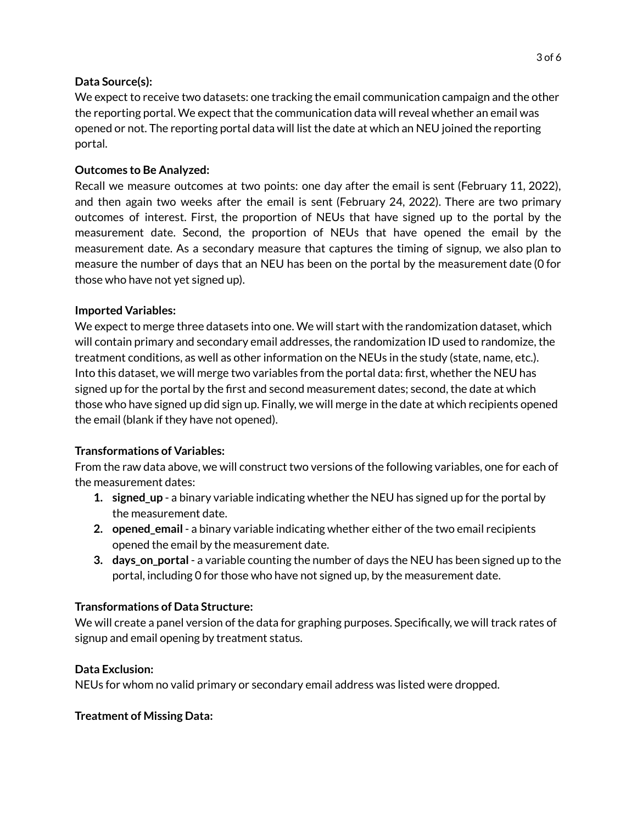#### **Data Source(s):**

We expect to receive two datasets: one tracking the email communication campaign and the other the reporting portal. We expect that the communication data will reveal whether an email was opened or not. The reporting portal data will list the date at which an NEU joined the reporting portal.

### **Outcomes to Be Analyzed:**

Recall we measure outcomes at two points: one day after the email is sent (February 11, 2022), and then again two weeks after the email is sent (February 24, 2022). There are two primary outcomes of interest. First, the proportion of NEUs that have signed up to the portal by the measurement date. Second, the proportion of NEUs that have opened the email by the measurement date. As a secondary measure that captures the timing of signup, we also plan to measure the number of days that an NEU has been on the portal by the measurement date (0 for those who have not yet signed up).

#### **Imported Variables:**

We expect to merge three datasets into one. We will start with the randomization dataset, which will contain primary and secondary email addresses, the randomization ID used to randomize, the treatment conditions, as well as other information on the NEUs in the study (state, name, etc.). Into this dataset, we will merge two variables from the portal data: first, whether the NEU has signed up for the portal by the first and second measurement dates; second, the date at which those who have signed up did sign up. Finally, we will merge in the date at which recipients opened the email (blank if they have not opened).

### **Transformations of Variables:**

From the raw data above, we will construct two versions of the following variables, one for each of the measurement dates:

- **1. signed\_up** a binary variable indicating whether the NEU has signed up for the portal by the measurement date.
- **2. opened\_email** a binary variable indicating whether either of the two email recipients opened the email by the measurement date.
- **3. days\_on\_portal** a variable counting the number of days the NEU has been signed up to the portal, including 0 for those who have not signed up, by the measurement date.

### **Transformations of Data Structure:**

We will create a panel version of the data for graphing purposes. Specifically, we will track rates of signup and email opening by treatment status.

### **Data Exclusion:**

NEUs for whom no valid primary or secondary email address was listed were dropped.

### **Treatment of Missing Data:**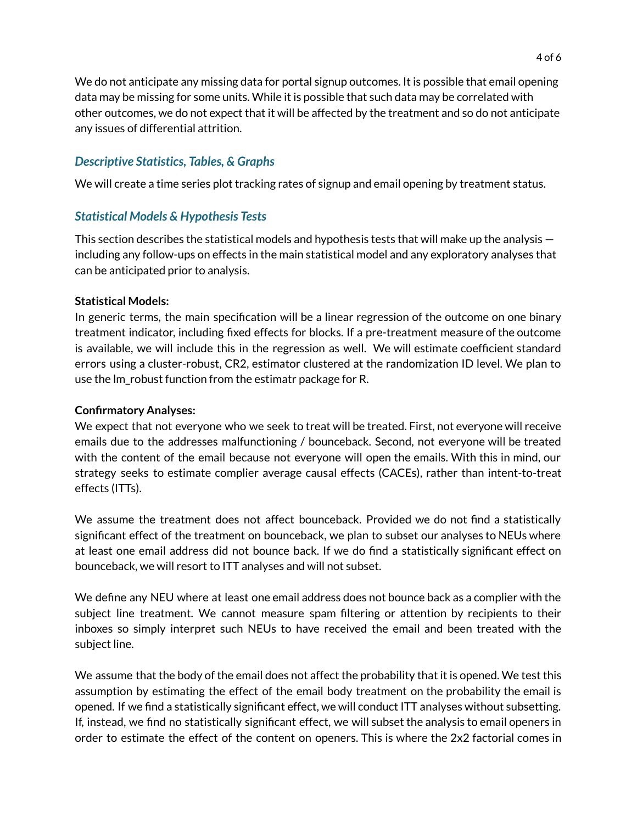We do not anticipate any missing data for portal signup outcomes. It is possible that email opening data may be missing for some units. While it is possible that such data may be correlated with other outcomes, we do not expect that it will be affected by the treatment and so do not anticipate any issues of differential attrition.

## *Descriptive Statistics, Tables, & Graphs*

We will create a time series plot tracking rates of signup and email opening by treatment status.

## *Statistical Models & Hypothesis Tests*

This section describes the statistical models and hypothesis tests that will make up the analysis including any follow-ups on effects in the main statistical model and any exploratory analyses that can be anticipated prior to analysis.

#### **Statistical Models:**

In generic terms, the main specification will be a linear regression of the outcome on one binary treatment indicator, including fixed effects for blocks. If a pre-treatment measure of the outcome is available, we will include this in the regression as well. We will estimate coefficient standard errors using a cluster-robust, CR2, estimator clustered at the randomization ID level. We plan to use the lm\_robust function from the estimatr package for R.

#### **Confirmatory Analyses:**

We expect that not everyone who we seek to treat will be treated. First, not everyone will receive emails due to the addresses malfunctioning / bounceback. Second, not everyone will be treated with the content of the email because not everyone will open the emails. With this in mind, our strategy seeks to estimate complier average causal effects (CACEs), rather than intent-to-treat effects (ITTs).

We assume the treatment does not affect bounceback. Provided we do not find a statistically significant effect of the treatment on bounceback, we plan to subset our analyses to NEUs where at least one email address did not bounce back. If we do find a statistically significant effect on bounceback, we will resort to ITT analyses and will not subset.

We define any NEU where at least one email address does not bounce back as a complier with the subject line treatment. We cannot measure spam filtering or attention by recipients to their inboxes so simply interpret such NEUs to have received the email and been treated with the subject line.

We assume that the body of the email does not affect the probability that it is opened. We test this assumption by estimating the effect of the email body treatment on the probability the email is opened. If we find a statistically significant effect, we will conduct ITT analyses without subsetting. If, instead, we find no statistically significant effect, we will subset the analysis to email openers in order to estimate the effect of the content on openers. This is where the 2x2 factorial comes in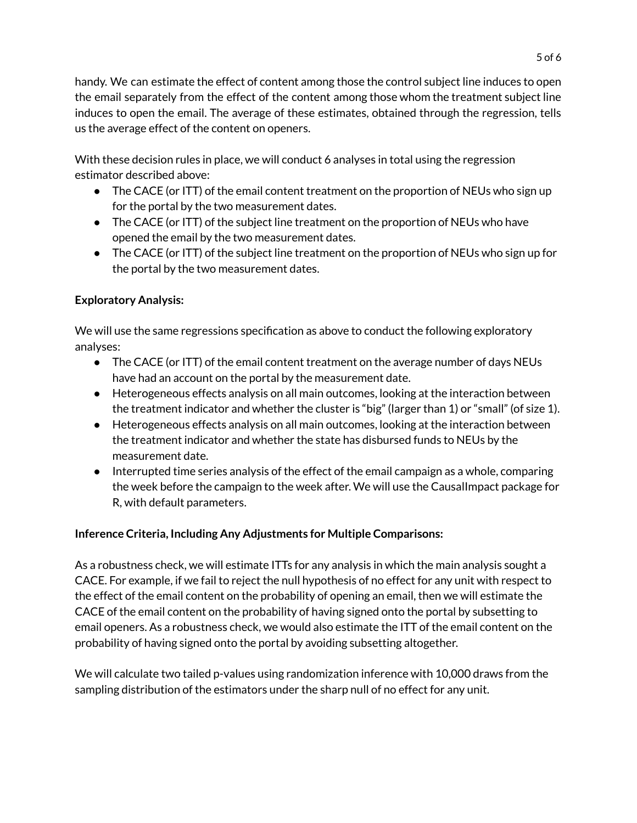handy. We can estimate the effect of content among those the control subject line induces to open the email separately from the effect of the content among those whom the treatment subject line induces to open the email. The average of these estimates, obtained through the regression, tells us the average effect of the content on openers.

With these decision rules in place, we will conduct 6 analyses in total using the regression estimator described above:

- The CACE (or ITT) of the email content treatment on the proportion of NEUs who sign up for the portal by the two measurement dates.
- The CACE (or ITT) of the subject line treatment on the proportion of NEUs who have opened the email by the two measurement dates.
- The CACE (or ITT) of the subject line treatment on the proportion of NEUs who sign up for the portal by the two measurement dates.

## **Exploratory Analysis:**

We will use the same regressions specification as above to conduct the following exploratory analyses:

- The CACE (or ITT) of the email content treatment on the average number of days NEUs have had an account on the portal by the measurement date.
- Heterogeneous effects analysis on all main outcomes, looking at the interaction between the treatment indicator and whether the cluster is "big" (larger than 1) or "small" (of size 1).
- Heterogeneous effects analysis on all main outcomes, looking at the interaction between the treatment indicator and whether the state has disbursed funds to NEUs by the measurement date.
- Interrupted time series analysis of the effect of the email campaign as a whole, comparing the week before the campaign to the week after. We will use the CausalImpact package for R, with default parameters.

## **Inference Criteria, Including Any Adjustments for Multiple Comparisons:**

As a robustness check, we will estimate ITTs for any analysis in which the main analysis sought a CACE. For example, if we fail to reject the null hypothesis of no effect for any unit with respect to the effect of the email content on the probability of opening an email, then we will estimate the CACE of the email content on the probability of having signed onto the portal by subsetting to email openers. As a robustness check, we would also estimate the ITT of the email content on the probability of having signed onto the portal by avoiding subsetting altogether.

We will calculate two tailed p-values using randomization inference with 10,000 draws from the sampling distribution of the estimators under the sharp null of no effect for any unit.